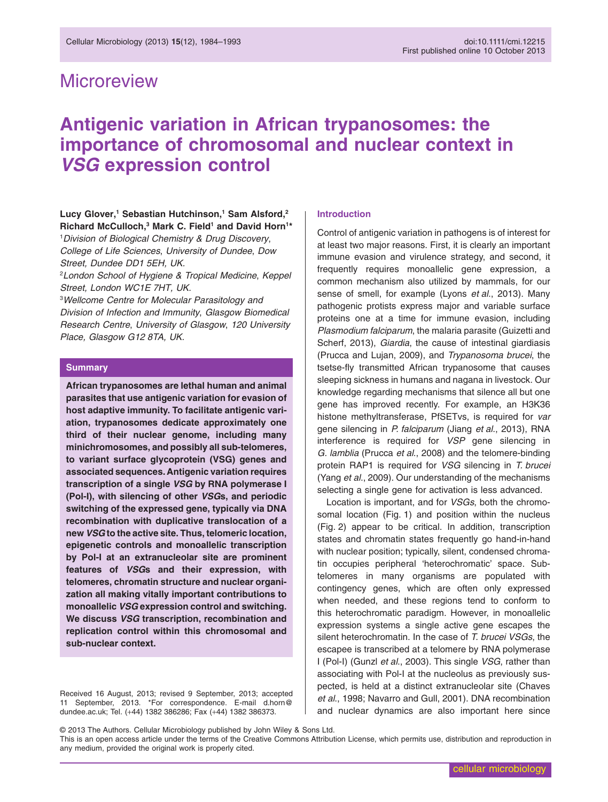## **Microreview**

# **Antigenic variation in African trypanosomes: the importance of chromosomal and nuclear context in** *VSG* **expression control**

## Lucy Glover,<sup>1</sup> Sebastian Hutchinson,<sup>1</sup> Sam Alsford,<sup>2</sup> Richard McCulloch,<sup>3</sup> Mark C. Field<sup>1</sup> and David Horn<sup>1\*</sup>

1 *Division of Biological Chemistry & Drug Discovery*, *College of Life Sciences*, *University of Dundee*, *Dow Street, Dundee DD1 5EH, UK.*

2 *London School of Hygiene & Tropical Medicine*, *Keppel Street, London WC1E 7HT, UK.*

3 *Wellcome Centre for Molecular Parasitology and Division of Infection and Immunity*, *Glasgow Biomedical Research Centre*, *University of Glasgow*, *120 University Place, Glasgow G12 8TA, UK.*

#### **Summary**

**African trypanosomes are lethal human and animal parasites that use antigenic variation for evasion of host adaptive immunity. To facilitate antigenic variation, trypanosomes dedicate approximately one third of their nuclear genome, including many minichromosomes, and possibly all sub-telomeres, to variant surface glycoprotein (VSG) genes and associated sequences. Antigenic variation requires transcription of a single** *VSG* **by RNA polymerase I (Pol-I), with silencing of other** *VSG***s, and periodic switching of the expressed gene, typically via DNA recombination with duplicative translocation of a new** *VSG* **to the active site. Thus, telomeric location, epigenetic controls and monoallelic transcription by Pol-I at an extranucleolar site are prominent features of** *VSG***s and their expression, with telomeres, chromatin structure and nuclear organization all making vitally important contributions to monoallelic** *VSG* **expression control and switching. We discuss** *VSG* **transcription, recombination and replication control within this chromosomal and sub-nuclear context.**

Received 16 August, 2013; revised 9 September, 2013; accepted 11 September, 2013. \*For correspondence. E-mail [d.horn@](mailto:d.horn@dundee.ac.uk) [dundee.ac.uk;](mailto:d.horn@dundee.ac.uk) Tel. (+44) 1382 386286; Fax (+44) 1382 386373.

#### **Introduction**

Control of antigenic variation in pathogens is of interest for at least two major reasons. First, it is clearly an important immune evasion and virulence strategy, and second, it frequently requires monoallelic gene expression, a common mechanism also utilized by mammals, for our sense of smell, for example (Lyons *et al*., 2013). Many pathogenic protists express major and variable surface proteins one at a time for immune evasion, including *Plasmodium falciparum*, the malaria parasite (Guizetti and Scherf, 2013), *Giardia*, the cause of intestinal giardiasis (Prucca and Lujan, 2009), and *Trypanosoma brucei*, the tsetse-fly transmitted African trypanosome that causes sleeping sickness in humans and nagana in livestock. Our knowledge regarding mechanisms that silence all but one gene has improved recently. For example, an H3K36 histone methyltransferase, PfSETvs, is required for *var* gene silencing in *P. falciparum* (Jiang *et al*., 2013), RNA interference is required for *VSP* gene silencing in *G. lamblia* (Prucca *et al*., 2008) and the telomere-binding protein RAP1 is required for *VSG* silencing in *T. brucei* (Yang *et al*., 2009). Our understanding of the mechanisms selecting a single gene for activation is less advanced.

Location is important, and for *VSGs*, both the chromosomal location (Fig. 1) and position within the nucleus (Fig. 2) appear to be critical. In addition, transcription states and chromatin states frequently go hand-in-hand with nuclear position; typically, silent, condensed chromatin occupies peripheral 'heterochromatic' space. Subtelomeres in many organisms are populated with contingency genes, which are often only expressed when needed, and these regions tend to conform to this heterochromatic paradigm. However, in monoallelic expression systems a single active gene escapes the silent heterochromatin. In the case of *T. brucei VSGs*, the escapee is transcribed at a telomere by RNA polymerase I (Pol-I) (Gunzl *et al*., 2003). This single *VSG*, rather than associating with Pol-I at the nucleolus as previously suspected, is held at a distinct extranucleolar site (Chaves *et al*., 1998; Navarro and Gull, 2001). DNA recombination and nuclear dynamics are also important here since

© 2013 The Authors. Cellular Microbiology published by John Wiley & Sons Ltd.

This is an open access article under the terms of the [Creative Commons Attribution](http://creativecommons.org/licenses/by/3.0/) License, which permits use, distribution and reproduction in any medium, provided the original work is properly cited.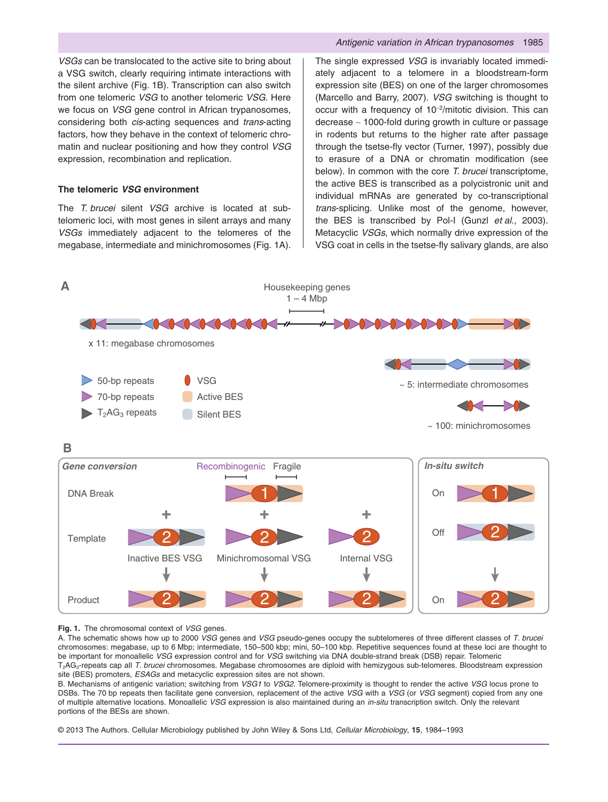*VSGs* can be translocated to the active site to bring about a VSG switch, clearly requiring intimate interactions with the silent archive (Fig. 1B). Transcription can also switch from one telomeric *VSG* to another telomeric *VSG*. Here we focus on *VSG* gene control in African trypanosomes, considering both *cis*-acting sequences and *trans*-acting factors, how they behave in the context of telomeric chromatin and nuclear positioning and how they control *VSG* expression, recombination and replication.

## **The telomeric** *VSG* **environment**

The *T. brucei* silent *VSG* archive is located at subtelomeric loci, with most genes in silent arrays and many *VSGs* immediately adjacent to the telomeres of the megabase, intermediate and minichromosomes (Fig. 1A). The single expressed *VSG* is invariably located immediately adjacent to a telomere in a bloodstream-form expression site (BES) on one of the larger chromosomes (Marcello and Barry, 2007). *VSG* switching is thought to occur with a frequency of 10<sup>-2</sup>/mitotic division. This can decrease ∼ 1000-fold during growth in culture or passage in rodents but returns to the higher rate after passage through the tsetse-fly vector (Turner, 1997), possibly due to erasure of a DNA or chromatin modification (see below). In common with the core *T. brucei* transcriptome, the active BES is transcribed as a polycistronic unit and individual mRNAs are generated by co-transcriptional *trans*-splicing. Unlike most of the genome, however, the BES is transcribed by Pol-I (Gunzl *et al*., 2003). Metacyclic *VSGs*, which normally drive expression of the VSG coat in cells in the tsetse-fly salivary glands, are also



#### **Fig. 1.** The chromosomal context of *VSG* genes.

A. The schematic shows how up to 2000 *VSG* genes and *VSG* pseudo-genes occupy the subtelomeres of three different classes of *T. brucei* chromosomes: megabase, up to 6 Mbp; intermediate, 150–500 kbp; mini, 50–100 kbp. Repetitive sequences found at these loci are thought to be important for monoallelic *VSG* expression control and for *VSG* switching via DNA double-strand break (DSB) repair. Telomeric T2AG3-repeats cap all *T. brucei* chromosomes. Megabase chromosomes are diploid with hemizygous sub-telomeres. Bloodstream expression site (BES) promoters, *ESAGs* and metacyclic expression sites are not shown.

B. Mechanisms of antigenic variation; switching from *VSG1* to *VSG2*. Telomere-proximity is thought to render the active *VSG* locus prone to DSBs. The 70 bp repeats then facilitate gene conversion, replacement of the active *VSG* with a *VSG* (or *VSG* segment) copied from any one of multiple alternative locations. Monoallelic *VSG* expression is also maintained during an *in-situ* transcription switch. Only the relevant portions of the BESs are shown.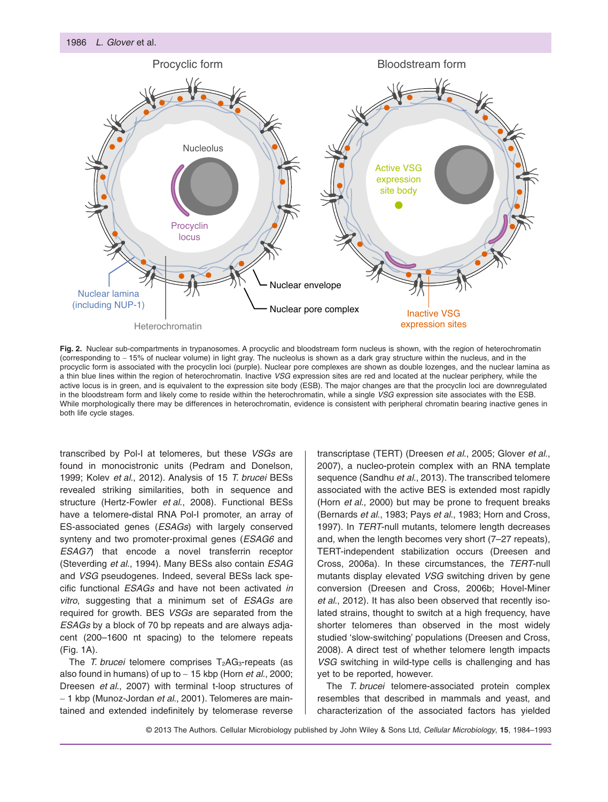

Fig. 2. Nuclear sub-compartments in trypanosomes. A procyclic and bloodstream form nucleus is shown, with the region of heterochromatin (corresponding to ∼ 15% of nuclear volume) in light gray. The nucleolus is shown as a dark gray structure within the nucleus, and in the procyclic form is associated with the procyclin loci (purple). Nuclear pore complexes are shown as double lozenges, and the nuclear lamina as a thin blue lines within the region of heterochromatin. Inactive *VSG* expression sites are red and located at the nuclear periphery, while the active locus is in green, and is equivalent to the expression site body (ESB). The major changes are that the procyclin loci are downregulated in the bloodstream form and likely come to reside within the heterochromatin, while a single *VSG* expression site associates with the ESB. While morphologically there may be differences in heterochromatin, evidence is consistent with peripheral chromatin bearing inactive genes in both life cycle stages.

transcribed by Pol-I at telomeres, but these *VSGs* are found in monocistronic units (Pedram and Donelson, 1999; Kolev *et al*., 2012). Analysis of 15 *T. brucei* BESs revealed striking similarities, both in sequence and structure (Hertz-Fowler *et al*., 2008). Functional BESs have a telomere-distal RNA Pol-I promoter, an array of ES-associated genes (*ESAGs*) with largely conserved synteny and two promoter-proximal genes (*ESAG6* and *ESAG7*) that encode a novel transferrin receptor (Steverding *et al*., 1994). Many BESs also contain *ESAG* and *VSG* pseudogenes. Indeed, several BESs lack specific functional *ESAGs* and have not been activated *in vitro*, suggesting that a minimum set of *ESAGs* are required for growth. BES *VSGs* are separated from the *ESAGs* by a block of 70 bp repeats and are always adjacent (200–1600 nt spacing) to the telomere repeats (Fig. 1A).

The *T. brucei* telomere comprises T<sub>2</sub>AG<sub>3</sub>-repeats (as also found in humans) of up to ∼ 15 kbp (Horn *et al*., 2000; Dreesen *et al*., 2007) with terminal t-loop structures of ∼ 1 kbp (Munoz-Jordan *et al*., 2001). Telomeres are maintained and extended indefinitely by telomerase reverse transcriptase (TERT) (Dreesen *et al*., 2005; Glover *et al*., 2007), a nucleo-protein complex with an RNA template sequence (Sandhu *et al*., 2013). The transcribed telomere associated with the active BES is extended most rapidly (Horn *et al*., 2000) but may be prone to frequent breaks (Bernards *et al*., 1983; Pays *et al*., 1983; Horn and Cross, 1997). In *TERT*-null mutants, telomere length decreases and, when the length becomes very short (7–27 repeats), TERT-independent stabilization occurs (Dreesen and Cross, 2006a). In these circumstances, the *TERT*-null mutants display elevated *VSG* switching driven by gene conversion (Dreesen and Cross, 2006b; Hovel-Miner *et al*., 2012). It has also been observed that recently isolated strains, thought to switch at a high frequency, have shorter telomeres than observed in the most widely studied 'slow-switching' populations (Dreesen and Cross, 2008). A direct test of whether telomere length impacts *VSG* switching in wild-type cells is challenging and has yet to be reported, however.

The *T. brucei* telomere-associated protein complex resembles that described in mammals and yeast, and characterization of the associated factors has yielded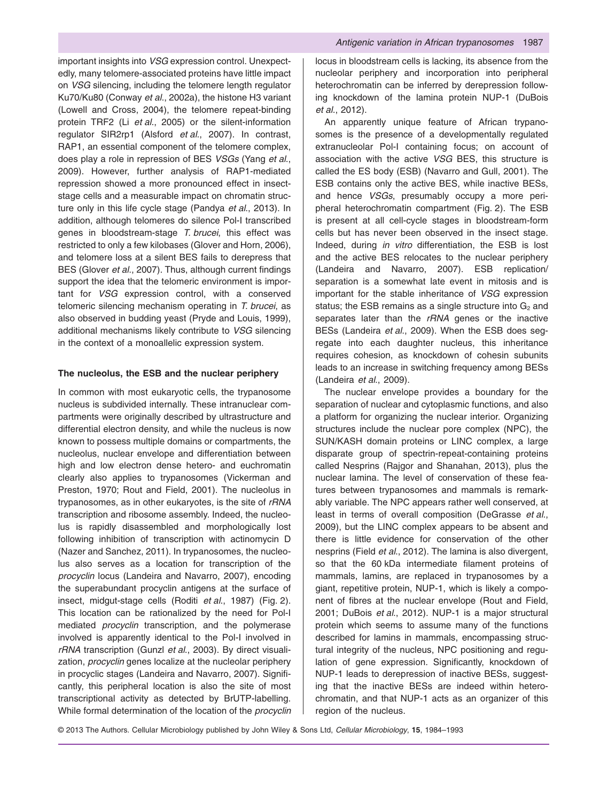important insights into *VSG* expression control. Unexpectedly, many telomere-associated proteins have little impact on *VSG* silencing, including the telomere length regulator Ku70/Ku80 (Conway *et al*., 2002a), the histone H3 variant (Lowell and Cross, 2004), the telomere repeat-binding protein TRF2 (Li *et al*., 2005) or the silent-information regulator SIR2rp1 (Alsford *et al*., 2007). In contrast, RAP1, an essential component of the telomere complex, does play a role in repression of BES *VSGs* (Yang *et al*., 2009). However, further analysis of RAP1-mediated repression showed a more pronounced effect in insectstage cells and a measurable impact on chromatin structure only in this life cycle stage (Pandya *et al*., 2013). In addition, although telomeres do silence Pol-I transcribed genes in bloodstream-stage *T. brucei*, this effect was restricted to only a few kilobases (Glover and Horn, 2006), and telomere loss at a silent BES fails to derepress that BES (Glover *et al*., 2007). Thus, although current findings support the idea that the telomeric environment is important for *VSG* expression control, with a conserved telomeric silencing mechanism operating in *T. brucei*, as also observed in budding yeast (Pryde and Louis, 1999), additional mechanisms likely contribute to *VSG* silencing in the context of a monoallelic expression system.

#### **The nucleolus, the ESB and the nuclear periphery**

In common with most eukaryotic cells, the trypanosome nucleus is subdivided internally. These intranuclear compartments were originally described by ultrastructure and differential electron density, and while the nucleus is now known to possess multiple domains or compartments, the nucleolus, nuclear envelope and differentiation between high and low electron dense hetero- and euchromatin clearly also applies to trypanosomes (Vickerman and Preston, 1970; Rout and Field, 2001). The nucleolus in trypanosomes, as in other eukaryotes, is the site of *rRNA* transcription and ribosome assembly. Indeed, the nucleolus is rapidly disassembled and morphologically lost following inhibition of transcription with actinomycin D (Nazer and Sanchez, 2011). In trypanosomes, the nucleolus also serves as a location for transcription of the *procyclin* locus (Landeira and Navarro, 2007), encoding the superabundant procyclin antigens at the surface of insect, midgut-stage cells (Roditi *et al*., 1987) (Fig. 2). This location can be rationalized by the need for Pol-I mediated *procyclin* transcription, and the polymerase involved is apparently identical to the Pol-I involved in *rRNA* transcription (Gunzl *et al*., 2003). By direct visualization, *procyclin* genes localize at the nucleolar periphery in procyclic stages (Landeira and Navarro, 2007). Significantly, this peripheral location is also the site of most transcriptional activity as detected by BrUTP-labelling. While formal determination of the location of the *procyclin* locus in bloodstream cells is lacking, its absence from the nucleolar periphery and incorporation into peripheral heterochromatin can be inferred by derepression following knockdown of the lamina protein NUP-1 (DuBois *et al*., 2012).

An apparently unique feature of African trypanosomes is the presence of a developmentally regulated extranucleolar Pol-I containing focus; on account of association with the active *VSG* BES, this structure is called the ES body (ESB) (Navarro and Gull, 2001). The ESB contains only the active BES, while inactive BESs, and hence *VSGs*, presumably occupy a more peripheral heterochromatin compartment (Fig. 2). The ESB is present at all cell-cycle stages in bloodstream-form cells but has never been observed in the insect stage. Indeed, during *in vitro* differentiation, the ESB is lost and the active BES relocates to the nuclear periphery (Landeira and Navarro, 2007). ESB replication/ separation is a somewhat late event in mitosis and is important for the stable inheritance of *VSG* expression status; the ESB remains as a single structure into  $G_2$  and separates later than the *rRNA* genes or the inactive BESs (Landeira *et al*., 2009). When the ESB does segregate into each daughter nucleus, this inheritance requires cohesion, as knockdown of cohesin subunits leads to an increase in switching frequency among BESs (Landeira *et al*., 2009).

The nuclear envelope provides a boundary for the separation of nuclear and cytoplasmic functions, and also a platform for organizing the nuclear interior. Organizing structures include the nuclear pore complex (NPC), the SUN/KASH domain proteins or LINC complex, a large disparate group of spectrin-repeat-containing proteins called Nesprins (Rajgor and Shanahan, 2013), plus the nuclear lamina. The level of conservation of these features between trypanosomes and mammals is remarkably variable. The NPC appears rather well conserved, at least in terms of overall composition (DeGrasse *et al*., 2009), but the LINC complex appears to be absent and there is little evidence for conservation of the other nesprins (Field *et al*., 2012). The lamina is also divergent, so that the 60 kDa intermediate filament proteins of mammals, lamins, are replaced in trypanosomes by a giant, repetitive protein, NUP-1, which is likely a component of fibres at the nuclear envelope (Rout and Field, 2001; DuBois *et al*., 2012). NUP-1 is a major structural protein which seems to assume many of the functions described for lamins in mammals, encompassing structural integrity of the nucleus, NPC positioning and regulation of gene expression. Significantly, knockdown of NUP-1 leads to derepression of inactive BESs, suggesting that the inactive BESs are indeed within heterochromatin, and that NUP-1 acts as an organizer of this region of the nucleus.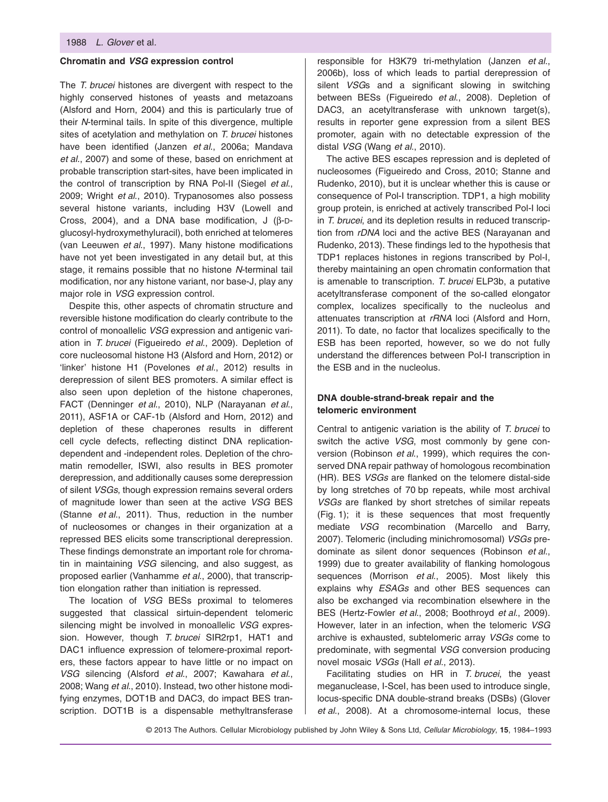#### **Chromatin and** *VSG* **expression control**

The *T. brucei* histones are divergent with respect to the highly conserved histones of yeasts and metazoans (Alsford and Horn, 2004) and this is particularly true of their *N*-terminal tails. In spite of this divergence, multiple sites of acetylation and methylation on *T. brucei* histones have been identified (Janzen *et al*., 2006a; Mandava *et al*., 2007) and some of these, based on enrichment at probable transcription start-sites, have been implicated in the control of transcription by RNA Pol-II (Siegel *et al*., 2009; Wright *et al*., 2010). Trypanosomes also possess several histone variants, including H3V (Lowell and Cross, 2004), and a DNA base modification, J (β-Dglucosyl-hydroxymethyluracil), both enriched at telomeres (van Leeuwen *et al*., 1997). Many histone modifications have not yet been investigated in any detail but, at this stage, it remains possible that no histone *N*-terminal tail modification, nor any histone variant, nor base-J, play any major role in *VSG* expression control.

Despite this, other aspects of chromatin structure and reversible histone modification do clearly contribute to the control of monoallelic *VSG* expression and antigenic variation in *T. brucei* (Figueiredo *et al*., 2009). Depletion of core nucleosomal histone H3 (Alsford and Horn, 2012) or 'linker' histone H1 (Povelones *et al*., 2012) results in derepression of silent BES promoters. A similar effect is also seen upon depletion of the histone chaperones, FACT (Denninger *et al*., 2010), NLP (Narayanan *et al*., 2011), ASF1A or CAF-1b (Alsford and Horn, 2012) and depletion of these chaperones results in different cell cycle defects, reflecting distinct DNA replicationdependent and -independent roles. Depletion of the chromatin remodeller, ISWI, also results in BES promoter derepression, and additionally causes some derepression of silent *VSGs*, though expression remains several orders of magnitude lower than seen at the active *VSG* BES (Stanne *et al*., 2011). Thus, reduction in the number of nucleosomes or changes in their organization at a repressed BES elicits some transcriptional derepression. These findings demonstrate an important role for chromatin in maintaining *VSG* silencing, and also suggest, as proposed earlier (Vanhamme *et al*., 2000), that transcription elongation rather than initiation is repressed.

The location of *VSG* BESs proximal to telomeres suggested that classical sirtuin-dependent telomeric silencing might be involved in monoallelic *VSG* expression. However, though *T. brucei* SIR2rp1, HAT1 and DAC1 influence expression of telomere-proximal reporters, these factors appear to have little or no impact on *VSG* silencing (Alsford *et al*., 2007; Kawahara *et al*., 2008; Wang *et al*., 2010). Instead, two other histone modifying enzymes, DOT1B and DAC3, do impact BES transcription. DOT1B is a dispensable methyltransferase

responsible for H3K79 tri-methylation (Janzen *et al*., 2006b), loss of which leads to partial derepression of silent *VSG*s and a significant slowing in switching between BESs (Figueiredo *et al*., 2008). Depletion of DAC3, an acetyltransferase with unknown target(s), results in reporter gene expression from a silent BES promoter, again with no detectable expression of the distal *VSG* (Wang *et al*., 2010).

The active BES escapes repression and is depleted of nucleosomes (Figueiredo and Cross, 2010; Stanne and Rudenko, 2010), but it is unclear whether this is cause or consequence of Pol-I transcription. TDP1, a high mobility group protein, is enriched at actively transcribed Pol-I loci in *T. brucei*, and its depletion results in reduced transcription from *rDNA* loci and the active BES (Narayanan and Rudenko, 2013). These findings led to the hypothesis that TDP1 replaces histones in regions transcribed by Pol-I, thereby maintaining an open chromatin conformation that is amenable to transcription. *T. brucei* ELP3b, a putative acetyltransferase component of the so-called elongator complex, localizes specifically to the nucleolus and attenuates transcription at *rRNA* loci (Alsford and Horn, 2011). To date, no factor that localizes specifically to the ESB has been reported, however, so we do not fully understand the differences between Pol-I transcription in the ESB and in the nucleolus.

## **DNA double-strand-break repair and the telomeric environment**

Central to antigenic variation is the ability of *T. brucei* to switch the active *VSG*, most commonly by gene conversion (Robinson *et al*., 1999), which requires the conserved DNA repair pathway of homologous recombination (HR). BES *VSGs* are flanked on the telomere distal-side by long stretches of 70 bp repeats, while most archival *VSGs* are flanked by short stretches of similar repeats (Fig. 1); it is these sequences that most frequently mediate *VSG* recombination (Marcello and Barry, 2007). Telomeric (including minichromosomal) *VSGs* predominate as silent donor sequences (Robinson *et al*., 1999) due to greater availability of flanking homologous sequences (Morrison *et al*., 2005). Most likely this explains why *ESAGs* and other BES sequences can also be exchanged via recombination elsewhere in the BES (Hertz-Fowler *et al*., 2008; Boothroyd *et al*., 2009). However, later in an infection, when the telomeric *VSG* archive is exhausted, subtelomeric array *VSGs* come to predominate, with segmental *VSG* conversion producing novel mosaic *VSGs* (Hall *et al*., 2013).

Facilitating studies on HR in *T. brucei*, the yeast meganuclease, I-SceI, has been used to introduce single, locus-specific DNA double-strand breaks (DSBs) (Glover *et al*., 2008). At a chromosome-internal locus, these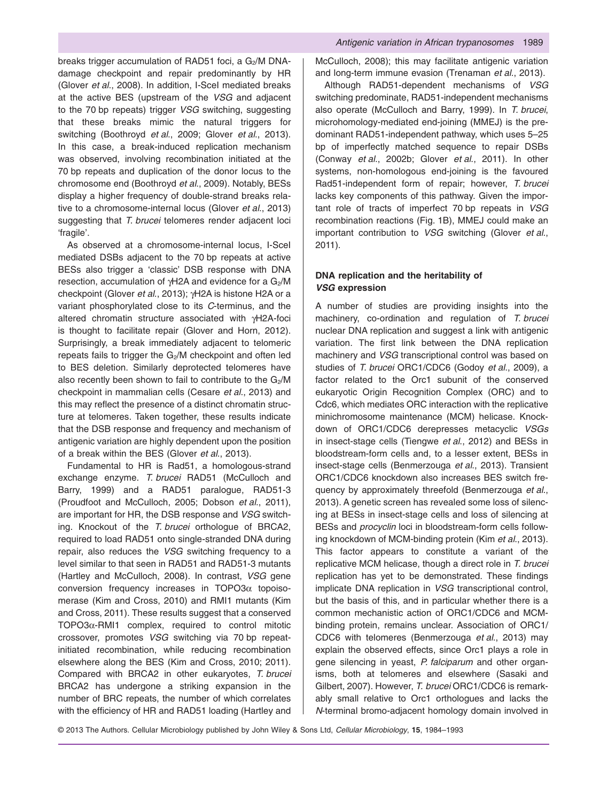breaks trigger accumulation of RAD51 foci, a  $G_2/M$  DNAdamage checkpoint and repair predominantly by HR (Glover *et al*., 2008). In addition, I-SceI mediated breaks at the active BES (upstream of the *VSG* and adjacent to the 70 bp repeats) trigger *VSG* switching, suggesting that these breaks mimic the natural triggers for switching (Boothroyd *et al*., 2009; Glover *et al*., 2013). In this case, a break-induced replication mechanism was observed, involving recombination initiated at the 70 bp repeats and duplication of the donor locus to the chromosome end (Boothroyd *et al*., 2009). Notably, BESs display a higher frequency of double-strand breaks relative to a chromosome-internal locus (Glover *et al*., 2013) suggesting that *T. brucei* telomeres render adjacent loci 'fragile'.

As observed at a chromosome-internal locus, I-SceI mediated DSBs adjacent to the 70 bp repeats at active BESs also trigger a 'classic' DSB response with DNA resection, accumulation of γH2A and evidence for a G<sub>2</sub>/M checkpoint (Glover *et al*., 2013); γH2A is histone H2A or a variant phosphorylated close to its *C*-terminus, and the altered chromatin structure associated with γH2A-foci is thought to facilitate repair (Glover and Horn, 2012). Surprisingly, a break immediately adjacent to telomeric repeats fails to trigger the  $G_2/M$  checkpoint and often led to BES deletion. Similarly deprotected telomeres have also recently been shown to fail to contribute to the  $G_2/M$ checkpoint in mammalian cells (Cesare *et al*., 2013) and this may reflect the presence of a distinct chromatin structure at telomeres. Taken together, these results indicate that the DSB response and frequency and mechanism of antigenic variation are highly dependent upon the position of a break within the BES (Glover *et al*., 2013).

Fundamental to HR is Rad51, a homologous-strand exchange enzyme. *T. brucei* RAD51 (McCulloch and Barry, 1999) and a RAD51 paralogue, RAD51-3 (Proudfoot and McCulloch, 2005; Dobson *et al*., 2011), are important for HR, the DSB response and *VSG* switching. Knockout of the *T. brucei* orthologue of BRCA2, required to load RAD51 onto single-stranded DNA during repair, also reduces the *VSG* switching frequency to a level similar to that seen in RAD51 and RAD51-3 mutants (Hartley and McCulloch, 2008). In contrast, *VSG* gene conversion frequency increases in TOPO3α topoisomerase (Kim and Cross, 2010) and RMI1 mutants (Kim and Cross, 2011). These results suggest that a conserved TOPO3α-RMI1 complex, required to control mitotic crossover, promotes *VSG* switching via 70 bp repeatinitiated recombination, while reducing recombination elsewhere along the BES (Kim and Cross, 2010; 2011). Compared with BRCA2 in other eukaryotes, *T. brucei* BRCA2 has undergone a striking expansion in the number of BRC repeats, the number of which correlates with the efficiency of HR and RAD51 loading (Hartley and McCulloch, 2008); this may facilitate antigenic variation and long-term immune evasion (Trenaman *et al*., 2013).

Although RAD51-dependent mechanisms of *VSG* switching predominate, RAD51-independent mechanisms also operate (McCulloch and Barry, 1999). In *T. brucei*, microhomology-mediated end-joining (MMEJ) is the predominant RAD51-independent pathway, which uses 5–25 bp of imperfectly matched sequence to repair DSBs (Conway *et al*., 2002b; Glover *et al*., 2011). In other systems, non-homologous end-joining is the favoured Rad51-independent form of repair; however, *T. brucei* lacks key components of this pathway. Given the important role of tracts of imperfect 70 bp repeats in *VSG* recombination reactions (Fig. 1B), MMEJ could make an important contribution to *VSG* switching (Glover *et al*., 2011).

## **DNA replication and the heritability of** *VSG* **expression**

A number of studies are providing insights into the machinery, co-ordination and regulation of *T. brucei* nuclear DNA replication and suggest a link with antigenic variation. The first link between the DNA replication machinery and *VSG* transcriptional control was based on studies of *T. brucei* ORC1/CDC6 (Godoy *et al*., 2009), a factor related to the Orc1 subunit of the conserved eukaryotic Origin Recognition Complex (ORC) and to Cdc6, which mediates ORC interaction with the replicative minichromosome maintenance (MCM) helicase. Knockdown of ORC1/CDC6 derepresses metacyclic *VSGs* in insect-stage cells (Tiengwe *et al*., 2012) and BESs in bloodstream-form cells and, to a lesser extent, BESs in insect-stage cells (Benmerzouga *et al*., 2013). Transient ORC1/CDC6 knockdown also increases BES switch frequency by approximately threefold (Benmerzouga *et al*., 2013). A genetic screen has revealed some loss of silencing at BESs in insect-stage cells and loss of silencing at BESs and *procyclin* loci in bloodstream-form cells following knockdown of MCM-binding protein (Kim *et al*., 2013). This factor appears to constitute a variant of the replicative MCM helicase, though a direct role in *T. brucei* replication has yet to be demonstrated. These findings implicate DNA replication in *VSG* transcriptional control, but the basis of this, and in particular whether there is a common mechanistic action of ORC1/CDC6 and MCMbinding protein, remains unclear. Association of ORC1/ CDC6 with telomeres (Benmerzouga *et al*., 2013) may explain the observed effects, since Orc1 plays a role in gene silencing in yeast, *P. falciparum* and other organisms, both at telomeres and elsewhere (Sasaki and Gilbert, 2007). However, *T. brucei* ORC1/CDC6 is remarkably small relative to Orc1 orthologues and lacks the *N*-terminal bromo-adjacent homology domain involved in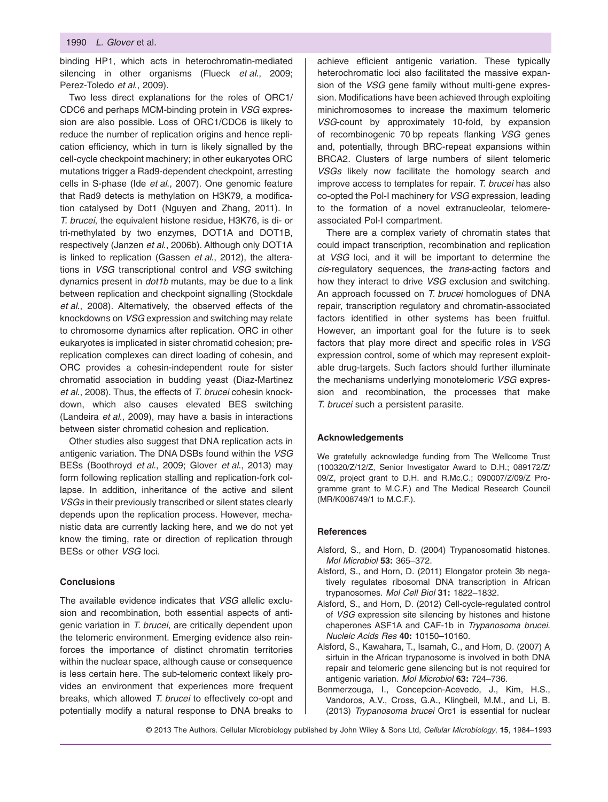binding HP1, which acts in heterochromatin-mediated silencing in other organisms (Flueck *et al*., 2009; Perez-Toledo *et al*., 2009).

Two less direct explanations for the roles of ORC1/ CDC6 and perhaps MCM-binding protein in *VSG* expression are also possible. Loss of ORC1/CDC6 is likely to reduce the number of replication origins and hence replication efficiency, which in turn is likely signalled by the cell-cycle checkpoint machinery; in other eukaryotes ORC mutations trigger a Rad9-dependent checkpoint, arresting cells in S-phase (Ide *et al*., 2007). One genomic feature that Rad9 detects is methylation on H3K79, a modification catalysed by Dot1 (Nguyen and Zhang, 2011). In *T. brucei*, the equivalent histone residue, H3K76, is di- or tri-methylated by two enzymes, DOT1A and DOT1B, respectively (Janzen *et al*., 2006b). Although only DOT1A is linked to replication (Gassen *et al*., 2012), the alterations in *VSG* transcriptional control and *VSG* switching dynamics present in *dot1b* mutants, may be due to a link between replication and checkpoint signalling (Stockdale *et al*., 2008). Alternatively, the observed effects of the knockdowns on *VSG* expression and switching may relate to chromosome dynamics after replication. ORC in other eukaryotes is implicated in sister chromatid cohesion; prereplication complexes can direct loading of cohesin, and ORC provides a cohesin-independent route for sister chromatid association in budding yeast (Diaz-Martinez *et al*., 2008). Thus, the effects of *T. brucei* cohesin knockdown, which also causes elevated BES switching (Landeira *et al*., 2009), may have a basis in interactions between sister chromatid cohesion and replication.

Other studies also suggest that DNA replication acts in antigenic variation. The DNA DSBs found within the *VSG* BESs (Boothroyd *et al*., 2009; Glover *et al*., 2013) may form following replication stalling and replication-fork collapse. In addition, inheritance of the active and silent *VSGs* in their previously transcribed or silent states clearly depends upon the replication process. However, mechanistic data are currently lacking here, and we do not yet know the timing, rate or direction of replication through BESs or other *VSG* loci.

#### **Conclusions**

The available evidence indicates that *VSG* allelic exclusion and recombination, both essential aspects of antigenic variation in *T. brucei*, are critically dependent upon the telomeric environment. Emerging evidence also reinforces the importance of distinct chromatin territories within the nuclear space, although cause or consequence is less certain here. The sub-telomeric context likely provides an environment that experiences more frequent breaks, which allowed *T. brucei* to effectively co-opt and potentially modify a natural response to DNA breaks to

achieve efficient antigenic variation. These typically heterochromatic loci also facilitated the massive expansion of the *VSG* gene family without multi-gene expression. Modifications have been achieved through exploiting minichromosomes to increase the maximum telomeric *VSG*-count by approximately 10-fold, by expansion of recombinogenic 70 bp repeats flanking *VSG* genes and, potentially, through BRC-repeat expansions within BRCA2. Clusters of large numbers of silent telomeric *VSGs* likely now facilitate the homology search and improve access to templates for repair. *T. brucei* has also co-opted the Pol-I machinery for *VSG* expression, leading to the formation of a novel extranucleolar, telomereassociated Pol-I compartment.

There are a complex variety of chromatin states that could impact transcription, recombination and replication at *VSG* loci, and it will be important to determine the *cis*-regulatory sequences, the *trans*-acting factors and how they interact to drive *VSG* exclusion and switching. An approach focussed on *T. brucei* homologues of DNA repair, transcription regulatory and chromatin-associated factors identified in other systems has been fruitful. However, an important goal for the future is to seek factors that play more direct and specific roles in *VSG* expression control, some of which may represent exploitable drug-targets. Such factors should further illuminate the mechanisms underlying monotelomeric *VSG* expression and recombination, the processes that make *T. brucei* such a persistent parasite.

#### **Acknowledgements**

We gratefully acknowledge funding from The Wellcome Trust (100320/Z/12/Z, Senior Investigator Award to D.H.; 089172/Z/ 09/Z, project grant to D.H. and R.Mc.C.; 090007/Z/09/Z Programme grant to M.C.F.) and The Medical Research Council (MR/K008749/1 to M.C.F.).

#### **References**

- Alsford, S., and Horn, D. (2004) Trypanosomatid histones. *Mol Microbiol* **53:** 365–372.
- Alsford, S., and Horn, D. (2011) Elongator protein 3b negatively regulates ribosomal DNA transcription in African trypanosomes. *Mol Cell Biol* **31:** 1822–1832.
- Alsford, S., and Horn, D. (2012) Cell-cycle-regulated control of *VSG* expression site silencing by histones and histone chaperones ASF1A and CAF-1b in *Trypanosoma brucei*. *Nucleic Acids Res* **40:** 10150–10160.
- Alsford, S., Kawahara, T., Isamah, C., and Horn, D. (2007) A sirtuin in the African trypanosome is involved in both DNA repair and telomeric gene silencing but is not required for antigenic variation. *Mol Microbiol* **63:** 724–736.
- Benmerzouga, I., Concepcion-Acevedo, J., Kim, H.S., Vandoros, A.V., Cross, G.A., Klingbeil, M.M., and Li, B. (2013) *Trypanosoma brucei* Orc1 is essential for nuclear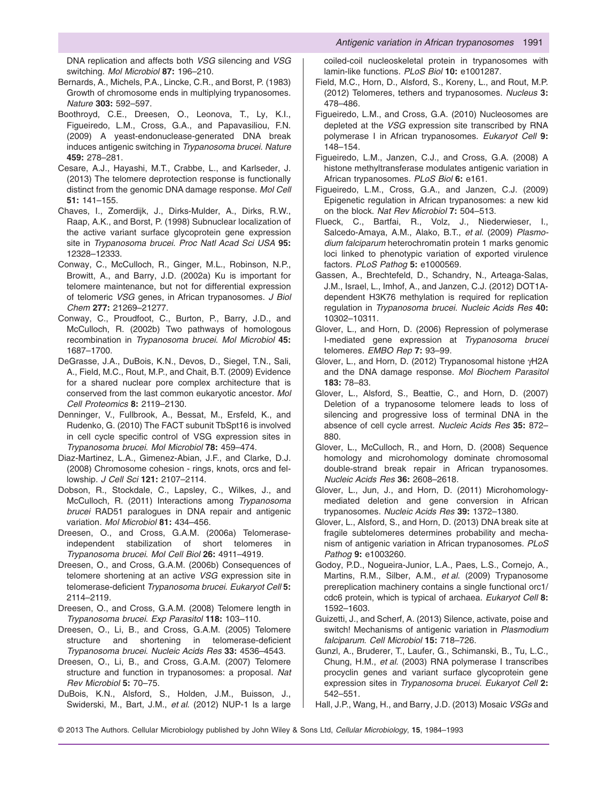DNA replication and affects both *VSG* silencing and *VSG* switching. *Mol Microbiol* **87:** 196–210.

- Bernards, A., Michels, P.A., Lincke, C.R., and Borst, P. (1983) Growth of chromosome ends in multiplying trypanosomes. *Nature* **303:** 592–597.
- Boothroyd, C.E., Dreesen, O., Leonova, T., Ly, K.I., Figueiredo, L.M., Cross, G.A., and Papavasiliou, F.N. (2009) A yeast-endonuclease-generated DNA break induces antigenic switching in *Trypanosoma brucei*. *Nature* **459:** 278–281.
- Cesare, A.J., Hayashi, M.T., Crabbe, L., and Karlseder, J. (2013) The telomere deprotection response is functionally distinct from the genomic DNA damage response. *Mol Cell* **51:** 141–155.
- Chaves, I., Zomerdijk, J., Dirks-Mulder, A., Dirks, R.W., Raap, A.K., and Borst, P. (1998) Subnuclear localization of the active variant surface glycoprotein gene expression site in *Trypanosoma brucei*. *Proc Natl Acad Sci USA* **95:** 12328–12333.
- Conway, C., McCulloch, R., Ginger, M.L., Robinson, N.P., Browitt, A., and Barry, J.D. (2002a) Ku is important for telomere maintenance, but not for differential expression of telomeric *VSG* genes, in African trypanosomes. *J Biol Chem* **277:** 21269–21277.
- Conway, C., Proudfoot, C., Burton, P., Barry, J.D., and McCulloch, R. (2002b) Two pathways of homologous recombination in *Trypanosoma brucei*. *Mol Microbiol* **45:** 1687–1700.
- DeGrasse, J.A., DuBois, K.N., Devos, D., Siegel, T.N., Sali, A., Field, M.C., Rout, M.P., and Chait, B.T. (2009) Evidence for a shared nuclear pore complex architecture that is conserved from the last common eukaryotic ancestor. *Mol Cell Proteomics* **8:** 2119–2130.
- Denninger, V., Fullbrook, A., Bessat, M., Ersfeld, K., and Rudenko, G. (2010) The FACT subunit TbSpt16 is involved in cell cycle specific control of VSG expression sites in *Trypanosoma brucei*. *Mol Microbiol* **78:** 459–474.
- Diaz-Martinez, L.A., Gimenez-Abian, J.F., and Clarke, D.J. (2008) Chromosome cohesion - rings, knots, orcs and fellowship. *J Cell Sci* **121:** 2107–2114.
- Dobson, R., Stockdale, C., Lapsley, C., Wilkes, J., and McCulloch, R. (2011) Interactions among *Trypanosoma brucei* RAD51 paralogues in DNA repair and antigenic variation. *Mol Microbiol* **81:** 434–456.
- Dreesen, O., and Cross, G.A.M. (2006a) Telomeraseindependent stabilization of short telomeres in *Trypanosoma brucei*. *Mol Cell Biol* **26:** 4911–4919.
- Dreesen, O., and Cross, G.A.M. (2006b) Consequences of telomere shortening at an active *VSG* expression site in telomerase-deficient *Trypanosoma brucei*. *Eukaryot Cell* **5:** 2114–2119.
- Dreesen, O., and Cross, G.A.M. (2008) Telomere length in *Trypanosoma brucei*. *Exp Parasitol* **118:** 103–110.
- Dreesen, O., Li, B., and Cross, G.A.M. (2005) Telomere structure and shortening in telomerase-deficient *Trypanosoma brucei*. *Nucleic Acids Res* **33:** 4536–4543.
- Dreesen, O., Li, B., and Cross, G.A.M. (2007) Telomere structure and function in trypanosomes: a proposal. *Nat Rev Microbiol* **5:** 70–75.
- DuBois, K.N., Alsford, S., Holden, J.M., Buisson, J., Swiderski, M., Bart, J.M., *et al*. (2012) NUP-1 Is a large

coiled-coil nucleoskeletal protein in trypanosomes with lamin-like functions. *PLoS Biol* **10:** e1001287.

- Field, M.C., Horn, D., Alsford, S., Koreny, L., and Rout, M.P. (2012) Telomeres, tethers and trypanosomes. *Nucleus* **3:** 478–486.
- Figueiredo, L.M., and Cross, G.A. (2010) Nucleosomes are depleted at the *VSG* expression site transcribed by RNA polymerase I in African trypanosomes. *Eukaryot Cell* **9:** 148–154.
- Figueiredo, L.M., Janzen, C.J., and Cross, G.A. (2008) A histone methyltransferase modulates antigenic variation in African trypanosomes. *PLoS Biol* **6:** e161.
- Figueiredo, L.M., Cross, G.A., and Janzen, C.J. (2009) Epigenetic regulation in African trypanosomes: a new kid on the block. *Nat Rev Microbiol* **7:** 504–513.
- Flueck, C., Bartfai, R., Volz, J., Niederwieser, I., Salcedo-Amaya, A.M., Alako, B.T., *et al*. (2009) *Plasmodium falciparum* heterochromatin protein 1 marks genomic loci linked to phenotypic variation of exported virulence factors. *PLoS Pathog* **5:** e1000569.
- Gassen, A., Brechtefeld, D., Schandry, N., Arteaga-Salas, J.M., Israel, L., Imhof, A., and Janzen, C.J. (2012) DOT1Adependent H3K76 methylation is required for replication regulation in *Trypanosoma brucei*. *Nucleic Acids Res* **40:** 10302–10311.
- Glover, L., and Horn, D. (2006) Repression of polymerase I-mediated gene expression at *Trypanosoma brucei* telomeres. *EMBO Rep* **7:** 93–99.
- Glover, L., and Horn, D. (2012) Trypanosomal histone γH2A and the DNA damage response. *Mol Biochem Parasitol* **183:** 78–83.
- Glover, L., Alsford, S., Beattie, C., and Horn, D. (2007) Deletion of a trypanosome telomere leads to loss of silencing and progressive loss of terminal DNA in the absence of cell cycle arrest. *Nucleic Acids Res* **35:** 872– 880.
- Glover, L., McCulloch, R., and Horn, D. (2008) Sequence homology and microhomology dominate chromosomal double-strand break repair in African trypanosomes. *Nucleic Acids Res* **36:** 2608–2618.
- Glover, L., Jun, J., and Horn, D. (2011) Microhomologymediated deletion and gene conversion in African trypanosomes. *Nucleic Acids Res* **39:** 1372–1380.
- Glover, L., Alsford, S., and Horn, D. (2013) DNA break site at fragile subtelomeres determines probability and mechanism of antigenic variation in African trypanosomes. *PLoS Pathog* **9:** e1003260.
- Godoy, P.D., Nogueira-Junior, L.A., Paes, L.S., Cornejo, A., Martins, R.M., Silber, A.M., *et al*. (2009) Trypanosome prereplication machinery contains a single functional orc1/ cdc6 protein, which is typical of archaea. *Eukaryot Cell* **8:** 1592–1603.
- Guizetti, J., and Scherf, A. (2013) Silence, activate, poise and switch! Mechanisms of antigenic variation in *Plasmodium falciparum*. *Cell Microbiol* **15:** 718–726.
- Gunzl, A., Bruderer, T., Laufer, G., Schimanski, B., Tu, L.C., Chung, H.M., *et al*. (2003) RNA polymerase I transcribes procyclin genes and variant surface glycoprotein gene expression sites in *Trypanosoma brucei*. *Eukaryot Cell* **2:** 542–551.
- Hall, J.P., Wang, H., and Barry, J.D. (2013) Mosaic *VSGs* and
- © 2013 The Authors. Cellular Microbiology published by John Wiley & Sons Ltd, *Cellular Microbiology*, **15**, 1984–1993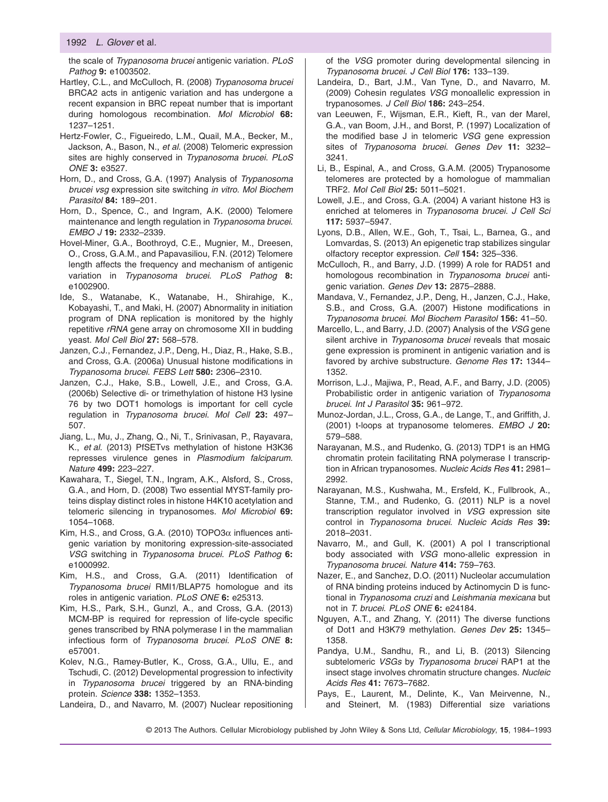the scale of *Trypanosoma brucei* antigenic variation. *PLoS Pathog* **9:** e1003502.

Hartley, C.L., and McCulloch, R. (2008) *Trypanosoma brucei* BRCA2 acts in antigenic variation and has undergone a recent expansion in BRC repeat number that is important during homologous recombination. *Mol Microbiol* **68:** 1237–1251.

Hertz-Fowler, C., Figueiredo, L.M., Quail, M.A., Becker, M., Jackson, A., Bason, N., *et al*. (2008) Telomeric expression sites are highly conserved in *Trypanosoma brucei*. *PLoS ONE* **3:** e3527.

- Horn, D., and Cross, G.A. (1997) Analysis of *Trypanosoma brucei vsg* expression site switching *in vitro*. *Mol Biochem Parasitol* **84:** 189–201.
- Horn, D., Spence, C., and Ingram, A.K. (2000) Telomere maintenance and length regulation in *Trypanosoma brucei*. *EMBO J* **19:** 2332–2339.
- Hovel-Miner, G.A., Boothroyd, C.E., Mugnier, M., Dreesen, O., Cross, G.A.M., and Papavasiliou, F.N. (2012) Telomere length affects the frequency and mechanism of antigenic variation in *Trypanosoma brucei*. *PLoS Pathog* **8:** e1002900.
- Ide, S., Watanabe, K., Watanabe, H., Shirahige, K., Kobayashi, T., and Maki, H. (2007) Abnormality in initiation program of DNA replication is monitored by the highly repetitive *rRNA* gene array on chromosome XII in budding yeast. *Mol Cell Biol* **27:** 568–578.
- Janzen, C.J., Fernandez, J.P., Deng, H., Diaz, R., Hake, S.B., and Cross, G.A. (2006a) Unusual histone modifications in *Trypanosoma brucei*. *FEBS Lett* **580:** 2306–2310.
- Janzen, C.J., Hake, S.B., Lowell, J.E., and Cross, G.A. (2006b) Selective di- or trimethylation of histone H3 lysine 76 by two DOT1 homologs is important for cell cycle regulation in *Trypanosoma brucei*. *Mol Cell* **23:** 497– 507.
- Jiang, L., Mu, J., Zhang, Q., Ni, T., Srinivasan, P., Rayavara, K., *et al*. (2013) PfSETvs methylation of histone H3K36 represses virulence genes in *Plasmodium falciparum*. *Nature* **499:** 223–227.
- Kawahara, T., Siegel, T.N., Ingram, A.K., Alsford, S., Cross, G.A., and Horn, D. (2008) Two essential MYST-family proteins display distinct roles in histone H4K10 acetylation and telomeric silencing in trypanosomes. *Mol Microbiol* **69:** 1054–1068.
- Kim, H.S., and Cross, G.A. (2010)  $TOPO3\alpha$  influences antigenic variation by monitoring expression-site-associated *VSG* switching in *Trypanosoma brucei*. *PLoS Pathog* **6:** e1000992.
- Kim, H.S., and Cross, G.A. (2011) Identification of *Trypanosoma brucei* RMI1/BLAP75 homologue and its roles in antigenic variation. *PLoS ONE* **6:** e25313.
- Kim, H.S., Park, S.H., Gunzl, A., and Cross, G.A. (2013) MCM-BP is required for repression of life-cycle specific genes transcribed by RNA polymerase I in the mammalian infectious form of *Trypanosoma brucei*. *PLoS ONE* **8:** e57001.
- Kolev, N.G., Ramey-Butler, K., Cross, G.A., Ullu, E., and Tschudi, C. (2012) Developmental progression to infectivity in *Trypanosoma brucei* triggered by an RNA-binding protein. *Science* **338:** 1352–1353.
- Landeira, D., and Navarro, M. (2007) Nuclear repositioning

of the *VSG* promoter during developmental silencing in *Trypanosoma brucei*. *J Cell Biol* **176:** 133–139.

- Landeira, D., Bart, J.M., Van Tyne, D., and Navarro, M. (2009) Cohesin regulates *VSG* monoallelic expression in trypanosomes. *J Cell Biol* **186:** 243–254.
- van Leeuwen, F., Wijsman, E.R., Kieft, R., van der Marel, G.A., van Boom, J.H., and Borst, P. (1997) Localization of the modified base J in telomeric *VSG* gene expression sites of *Trypanosoma brucei*. *Genes Dev* **11:** 3232– 3241.
- Li, B., Espinal, A., and Cross, G.A.M. (2005) Trypanosome telomeres are protected by a homologue of mammalian TRF2. *Mol Cell Biol* **25:** 5011–5021.
- Lowell, J.E., and Cross, G.A. (2004) A variant histone H3 is enriched at telomeres in *Trypanosoma brucei*. *J Cell Sci* **117:** 5937–5947.
- Lyons, D.B., Allen, W.E., Goh, T., Tsai, L., Barnea, G., and Lomvardas, S. (2013) An epigenetic trap stabilizes singular olfactory receptor expression. *Cell* **154:** 325–336.
- McCulloch, R., and Barry, J.D. (1999) A role for RAD51 and homologous recombination in *Trypanosoma brucei* antigenic variation. *Genes Dev* **13:** 2875–2888.
- Mandava, V., Fernandez, J.P., Deng, H., Janzen, C.J., Hake, S.B., and Cross, G.A. (2007) Histone modifications in *Trypanosoma brucei*. *Mol Biochem Parasitol* **156:** 41–50.
- Marcello, L., and Barry, J.D. (2007) Analysis of the *VSG* gene silent archive in *Trypanosoma brucei* reveals that mosaic gene expression is prominent in antigenic variation and is favored by archive substructure. *Genome Res* **17:** 1344– 1352.
- Morrison, L.J., Majiwa, P., Read, A.F., and Barry, J.D. (2005) Probabilistic order in antigenic variation of *Trypanosoma brucei*. *Int J Parasitol* **35:** 961–972.
- Munoz-Jordan, J.L., Cross, G.A., de Lange, T., and Griffith, J. (2001) t-loops at trypanosome telomeres. *EMBO J* **20:** 579–588.
- Narayanan, M.S., and Rudenko, G. (2013) TDP1 is an HMG chromatin protein facilitating RNA polymerase I transcription in African trypanosomes. *Nucleic Acids Res* **41:** 2981– 2992.
- Narayanan, M.S., Kushwaha, M., Ersfeld, K., Fullbrook, A., Stanne, T.M., and Rudenko, G. (2011) NLP is a novel transcription regulator involved in *VSG* expression site control in *Trypanosoma brucei*. *Nucleic Acids Res* **39:** 2018–2031.
- Navarro, M., and Gull, K. (2001) A pol I transcriptional body associated with *VSG* mono-allelic expression in *Trypanosoma brucei*. *Nature* **414:** 759–763.
- Nazer, E., and Sanchez, D.O. (2011) Nucleolar accumulation of RNA binding proteins induced by Actinomycin D is functional in *Trypanosoma cruzi* and *Leishmania mexicana* but not in *T. brucei*. *PLoS ONE* **6:** e24184.
- Nguyen, A.T., and Zhang, Y. (2011) The diverse functions of Dot1 and H3K79 methylation. *Genes Dev* **25:** 1345– 1358.
- Pandya, U.M., Sandhu, R., and Li, B. (2013) Silencing subtelomeric *VSGs* by *Trypanosoma brucei* RAP1 at the insect stage involves chromatin structure changes. *Nucleic Acids Res* **41:** 7673–7682.
- Pays, E., Laurent, M., Delinte, K., Van Meirvenne, N., and Steinert, M. (1983) Differential size variations